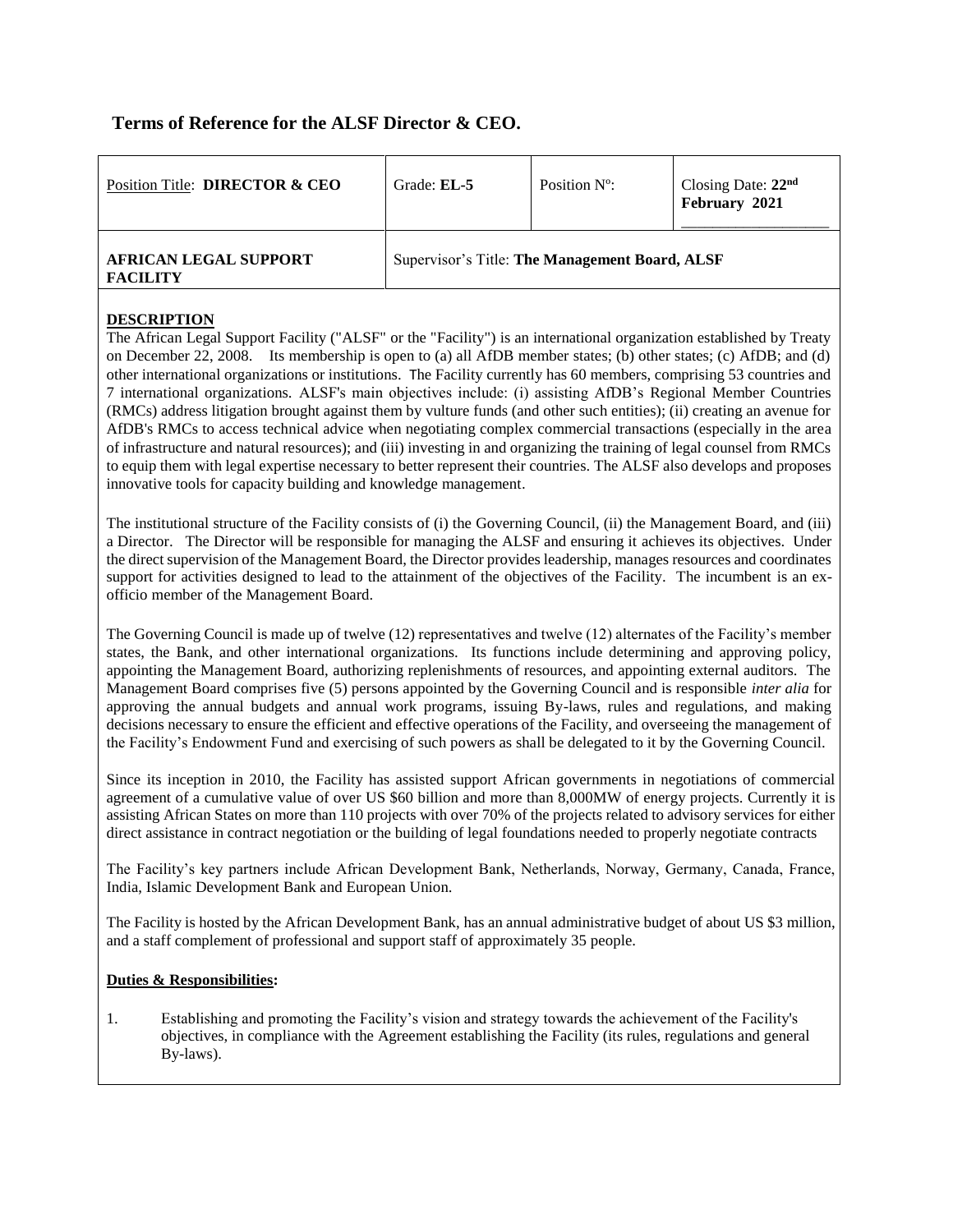# **Terms of Reference for the ALSF Director & CEO.**

| Position Title: DIRECTOR & CEO                  | Grade: EL-5                                    | Position N <sup>o</sup> : | Closing Date: $22nd$<br>February 2021 |
|-------------------------------------------------|------------------------------------------------|---------------------------|---------------------------------------|
| <b>AFRICAN LEGAL SUPPORT</b><br><b>FACILITY</b> | Supervisor's Title: The Management Board, ALSF |                           |                                       |

# **DESCRIPTION**

The African Legal Support Facility ("ALSF" or the "Facility") is an international organization established by Treaty on December 22, 2008. Its membership is open to (a) all AfDB member states; (b) other states; (c) AfDB; and (d) other international organizations or institutions. The Facility currently has 60 members, comprising 53 countries and 7 international organizations. ALSF's main objectives include: (i) assisting AfDB's Regional Member Countries (RMCs) address litigation brought against them by vulture funds (and other such entities); (ii) creating an avenue for AfDB's RMCs to access technical advice when negotiating complex commercial transactions (especially in the area of infrastructure and natural resources); and (iii) investing in and organizing the training of legal counsel from RMCs to equip them with legal expertise necessary to better represent their countries. The ALSF also develops and proposes innovative tools for capacity building and knowledge management.

The institutional structure of the Facility consists of (i) the Governing Council, (ii) the Management Board, and (iii) a Director. The Director will be responsible for managing the ALSF and ensuring it achieves its objectives. Under the direct supervision of the Management Board, the Director provides leadership, manages resources and coordinates support for activities designed to lead to the attainment of the objectives of the Facility. The incumbent is an exofficio member of the Management Board.

The Governing Council is made up of twelve (12) representatives and twelve (12) alternates of the Facility's member states, the Bank, and other international organizations. Its functions include determining and approving policy, appointing the Management Board, authorizing replenishments of resources, and appointing external auditors. The Management Board comprises five (5) persons appointed by the Governing Council and is responsible *inter alia* for approving the annual budgets and annual work programs, issuing By-laws, rules and regulations, and making decisions necessary to ensure the efficient and effective operations of the Facility, and overseeing the management of the Facility's Endowment Fund and exercising of such powers as shall be delegated to it by the Governing Council.

Since its inception in 2010, the Facility has assisted support African governments in negotiations of commercial agreement of a cumulative value of over US \$60 billion and more than 8,000MW of energy projects. Currently it is assisting African States on more than 110 projects with over 70% of the projects related to advisory services for either direct assistance in contract negotiation or the building of legal foundations needed to properly negotiate contracts

The Facility's key partners include African Development Bank, Netherlands, Norway, Germany, Canada, France, India, Islamic Development Bank and European Union.

The Facility is hosted by the African Development Bank, has an annual administrative budget of about US \$3 million, and a staff complement of professional and support staff of approximately 35 people.

### **Duties & Responsibilities:**

1. Establishing and promoting the Facility's vision and strategy towards the achievement of the Facility's objectives, in compliance with the Agreement establishing the Facility (its rules, regulations and general By-laws).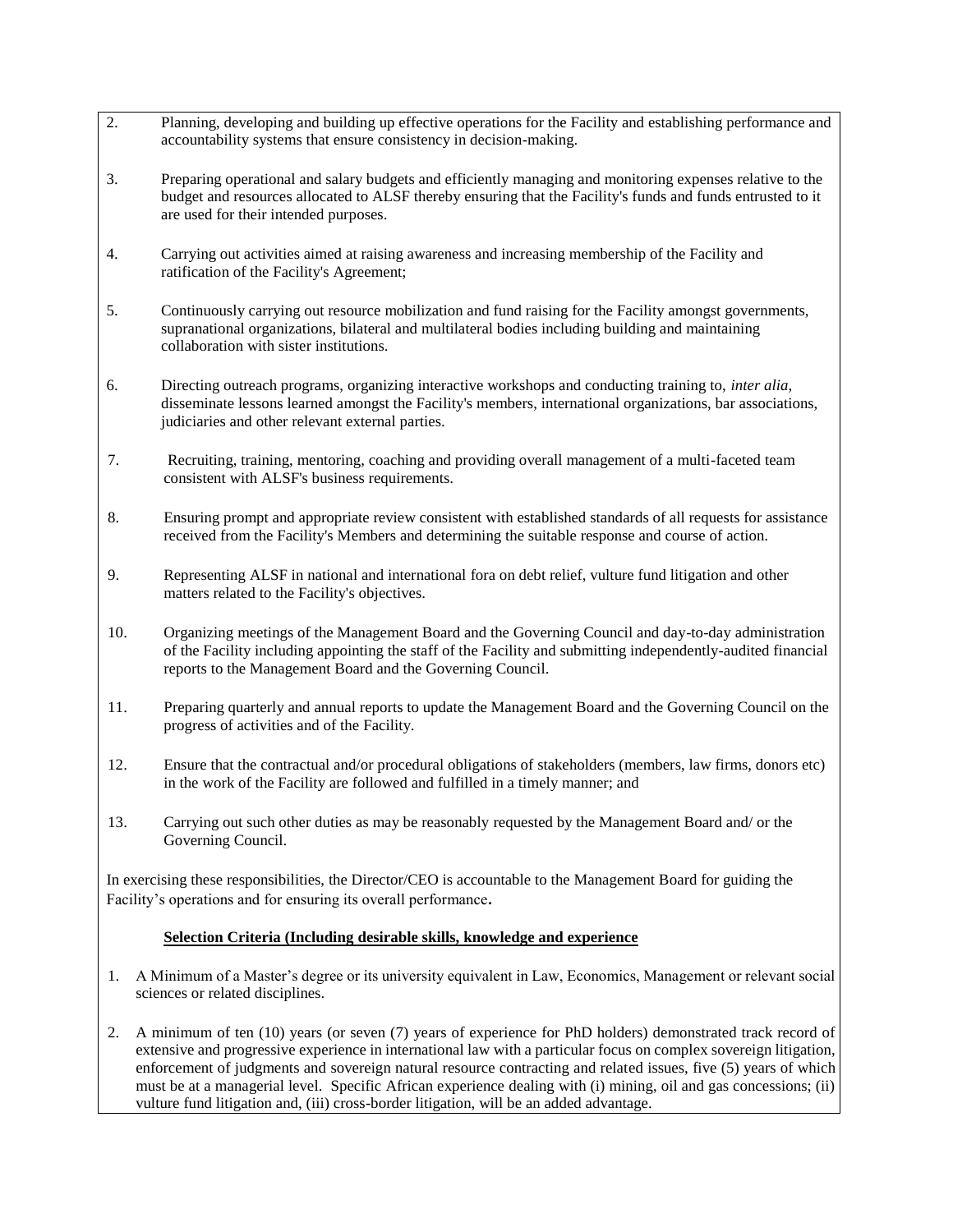- 2. Planning, developing and building up effective operations for the Facility and establishing performance and accountability systems that ensure consistency in decision-making.
- 3. Preparing operational and salary budgets and efficiently managing and monitoring expenses relative to the budget and resources allocated to ALSF thereby ensuring that the Facility's funds and funds entrusted to it are used for their intended purposes.
- 4. Carrying out activities aimed at raising awareness and increasing membership of the Facility and ratification of the Facility's Agreement;
- 5. Continuously carrying out resource mobilization and fund raising for the Facility amongst governments, supranational organizations, bilateral and multilateral bodies including building and maintaining collaboration with sister institutions.
- 6. Directing outreach programs, organizing interactive workshops and conducting training to, *inter alia*, disseminate lessons learned amongst the Facility's members, international organizations, bar associations, judiciaries and other relevant external parties.
- 7. Recruiting, training, mentoring, coaching and providing overall management of a multi-faceted team consistent with ALSF's business requirements.
- 8. Ensuring prompt and appropriate review consistent with established standards of all requests for assistance received from the Facility's Members and determining the suitable response and course of action.
- 9. Representing ALSF in national and international fora on debt relief, vulture fund litigation and other matters related to the Facility's objectives.
- 10. Organizing meetings of the Management Board and the Governing Council and day-to-day administration of the Facility including appointing the staff of the Facility and submitting independently-audited financial reports to the Management Board and the Governing Council.
- 11. Preparing quarterly and annual reports to update the Management Board and the Governing Council on the progress of activities and of the Facility.
- 12. Ensure that the contractual and/or procedural obligations of stakeholders (members, law firms, donors etc) in the work of the Facility are followed and fulfilled in a timely manner; and
- 13. Carrying out such other duties as may be reasonably requested by the Management Board and/ or the Governing Council.

In exercising these responsibilities, the Director/CEO is accountable to the Management Board for guiding the Facility's operations and for ensuring its overall performance**.**

# **Selection Criteria (Including desirable skills, knowledge and experience**

- 1. A Minimum of a Master's degree or its university equivalent in Law, Economics, Management or relevant social sciences or related disciplines.
- 2. A minimum of ten (10) years (or seven (7) years of experience for PhD holders) demonstrated track record of extensive and progressive experience in international law with a particular focus on complex sovereign litigation, enforcement of judgments and sovereign natural resource contracting and related issues, five (5) years of which must be at a managerial level. Specific African experience dealing with (i) mining, oil and gas concessions; (ii) vulture fund litigation and, (iii) cross-border litigation, will be an added advantage.